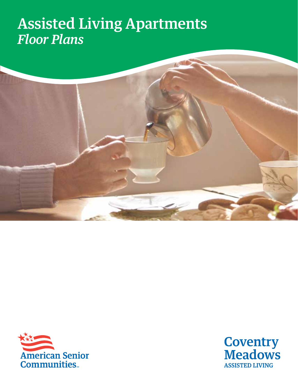## Assisted Living Apartments *Floor Plans*





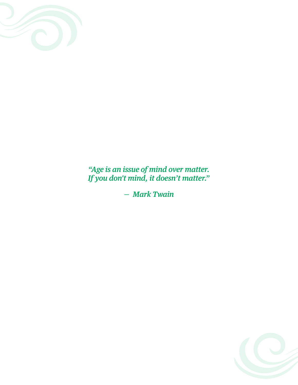

*"Age is an issue of mind over matter. If you don't mind, it doesn't matter."* 

*— Mark Twain*

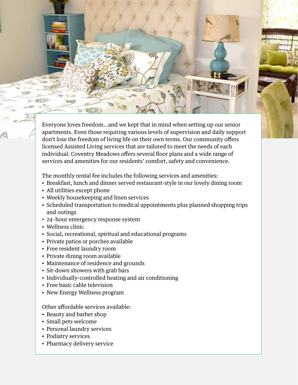Everyone loves freedom…and we kept that in mind when setting up our senior apartments. Even those requiring various levels of supervision and daily support don't lose the freedom of living life on their own terms. Our community offers licensed Assisted Living services that are tailored to meet the needs of each individual. Coventry Meadows offers several floor plans and a wide range of services and amenities for our residents' comfort, safety and convenience.

The monthly rental fee includes the following services and amenities:

- Breakfast, lunch and dinner served restaurant-style in our lovely dining room
- All utilities except phone
- Weekly housekeeping and linen services
- Scheduled transportation to medical appointments plus planned shopping trips and outings
- 24–hour emergency response system
- Wellness clinic
- Social, recreational, spiritual and educational programs
- Private patios or porches available
- Free resident laundry room
- Private dining room available
- Maintenance of residence and grounds
- Sit-down showers with grab bars
- Individually-controlled heating and air conditioning
- Free basic cable television
- New Energy Wellness program

Other affordable services available:

- Beauty and barber shop
- Small pets welcome
- Personal laundry services
- Podiatry services
- Pharmacy delivery service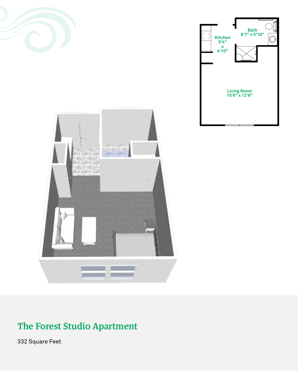



### The Forest Studio Apartment

332 Square Feet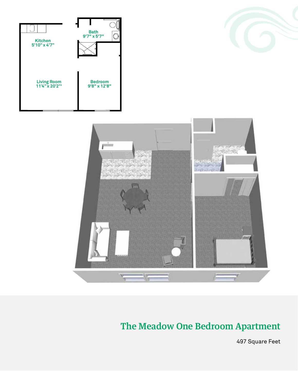





#### The Meadow One Bedroom Apartment

497 Square Feet